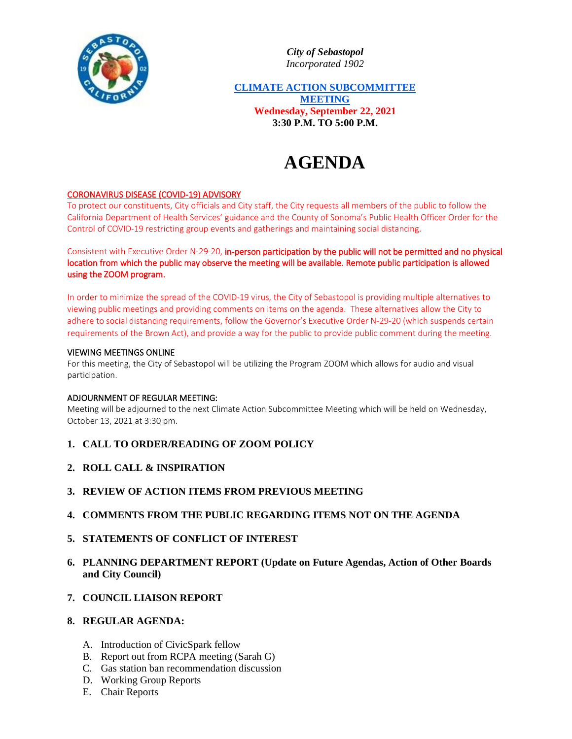

*City of Sebastopol Incorporated 1902*

**CLIMATE ACTION SUBCOMMITTEE MEETING Wednesday, September 22, 2021 3:30 P.M. TO 5:00 P.M.**

# **AGENDA**

## CORONAVIRUS DISEASE (COVID-19) ADVISORY

To protect our constituents, City officials and City staff, the City requests all members of the public to follow the California Department of Health Services' guidance and the County of Sonoma's Public Health Officer Order for the Control of COVID-19 restricting group events and gatherings and maintaining social distancing.

Consistent with Executive Order N-29-20, in-person participation by the public will not be permitted and no physical location from which the public may observe the meeting will be available. Remote public participation is allowed using the ZOOM program.

In order to minimize the spread of the COVID-19 virus, the City of Sebastopol is providing multiple alternatives to viewing public meetings and providing comments on items on the agenda. These alternatives allow the City to adhere to social distancing requirements, follow the Governor's Executive Order N-29-20 (which suspends certain requirements of the Brown Act), and provide a way for the public to provide public comment during the meeting.

#### VIEWING MEETINGS ONLINE

For this meeting, the City of Sebastopol will be utilizing the Program ZOOM which allows for audio and visual participation.

### ADJOURNMENT OF REGULAR MEETING:

Meeting will be adjourned to the next Climate Action Subcommittee Meeting which will be held on Wednesday, October 13, 2021 at 3:30 pm.

- **1. CALL TO ORDER/READING OF ZOOM POLICY**
- **2. ROLL CALL & INSPIRATION**
- **3. REVIEW OF ACTION ITEMS FROM PREVIOUS MEETING**
- **4. COMMENTS FROM THE PUBLIC REGARDING ITEMS NOT ON THE AGENDA**
- **5. STATEMENTS OF CONFLICT OF INTEREST**
- **6. PLANNING DEPARTMENT REPORT (Update on Future Agendas, Action of Other Boards and City Council)**
- **7. COUNCIL LIAISON REPORT**

## **8. REGULAR AGENDA:**

- A. Introduction of CivicSpark fellow
- B. Report out from RCPA meeting (Sarah G)
- C. Gas station ban recommendation discussion
- D. Working Group Reports
- E. Chair Reports